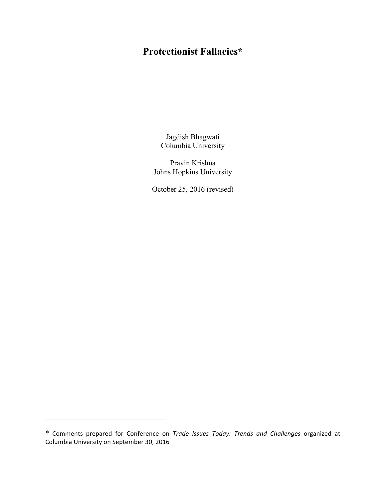# **Protectionist Fallacies\***

Jagdish Bhagwati Columbia University

Pravin Krishna Johns Hopkins University

October 25, 2016 (revised)

 $\mathcal{L}_\text{max}$  , where  $\mathcal{L}_\text{max}$  and  $\mathcal{L}_\text{max}$  and  $\mathcal{L}_\text{max}$ 

<sup>\*</sup> Comments prepared for Conference on *Trade Issues Today: Trends and Challenges* organized at Columbia University on September 30, 2016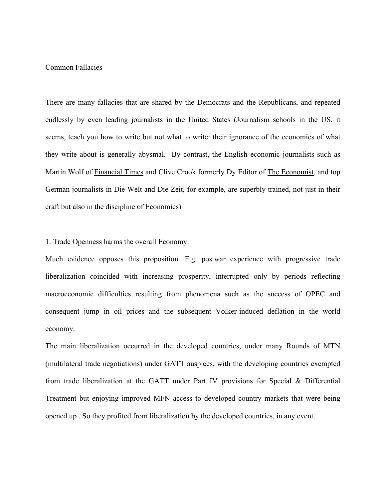# Common Fallacies

There are many fallacies that are shared by the Democrats and the Republicans, and repeated endlessly by even leading journalists in the United States (Journalism schools in the US, it seems, teach you how to write but not what to write: their ignorance of the economics of what they write about is generally abysmal. By contrast, the English economic journalists such as Martin Wolf of Financial Times and Clive Crook formerly Dy Editor of The Economist, and top German journalists in Die Welt and Die Zeit, for example, are superbly trained, not just in their craft but also in the discipline of Economics)

## 1. Trade Openness harms the overall Economy.

Much evidence opposes this proposition. E.g. postwar experience with progressive trade liberalization coincided with increasing prosperity, interrupted only by periods reflecting macroeconomic difficulties resulting from phenomena such as the success of OPEC and consequent jump in oil prices and the subsequent Volker-induced deflation in the world economy.

The main liberalization occurred in the developed countries, under many Rounds of MTN (multilateral trade negotiations) under GATT auspices, with the developing countries exempted from trade liberalization at the GATT under Part IV provisions for Special & Differential Treatment but enjoying improved MFN access to developed country markets that were being opened up . So they profited from liberalization by the developed countries, in any event.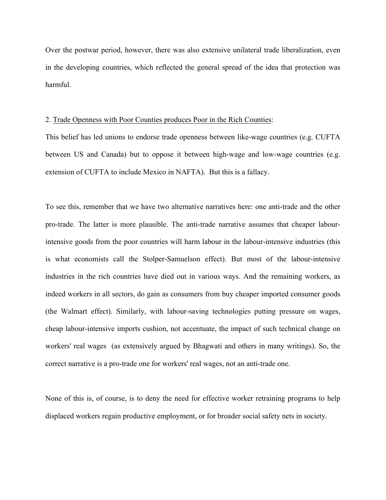Over the postwar period, however, there was also extensive unilateral trade liberalization, even in the developing countries, which reflected the general spread of the idea that protection was harmful.

## 2. Trade Openness with Poor Counties produces Poor in the Rich Counties:

This belief has led unions to endorse trade openness between like-wage countries (e.g. CUFTA between US and Canada) but to oppose it between high-wage and low-wage countries (e.g. extension of CUFTA to include Mexico in NAFTA). But this is a fallacy.

To see this, remember that we have two alternative narratives here: one anti-trade and the other pro-trade. The latter is more plausible. The anti-trade narrative assumes that cheaper labourintensive goods from the poor countries will harm labour in the labour-intensive industries (this is what economists call the Stolper-Samuelson effect). But most of the labour-intensive industries in the rich countries have died out in various ways. And the remaining workers, as indeed workers in all sectors, do gain as consumers from buy cheaper imported consumer goods (the Walmart effect). Similarly, with labour-saving technologies putting pressure on wages, cheap labour-intensive imports cushion, not accentuate, the impact of such technical change on workers' real wages (as extensively argued by Bhagwati and others in many writings). So, the correct narrative is a pro-trade one for workers' real wages, not an anti-trade one.

None of this is, of course, is to deny the need for effective worker retraining programs to help displaced workers regain productive employment, or for broader social safety nets in society.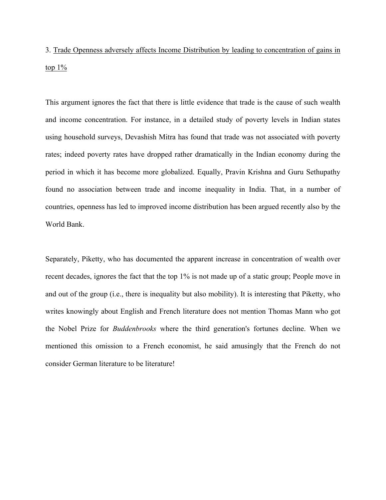3. Trade Openness adversely affects Income Distribution by leading to concentration of gains in top  $1\%$ 

This argument ignores the fact that there is little evidence that trade is the cause of such wealth and income concentration. For instance, in a detailed study of poverty levels in Indian states using household surveys, Devashish Mitra has found that trade was not associated with poverty rates; indeed poverty rates have dropped rather dramatically in the Indian economy during the period in which it has become more globalized. Equally, Pravin Krishna and Guru Sethupathy found no association between trade and income inequality in India. That, in a number of countries, openness has led to improved income distribution has been argued recently also by the World Bank.

Separately, Piketty, who has documented the apparent increase in concentration of wealth over recent decades, ignores the fact that the top 1% is not made up of a static group; People move in and out of the group (i.e., there is inequality but also mobility). It is interesting that Piketty, who writes knowingly about English and French literature does not mention Thomas Mann who got the Nobel Prize for *Buddenbrooks* where the third generation's fortunes decline. When we mentioned this omission to a French economist, he said amusingly that the French do not consider German literature to be literature!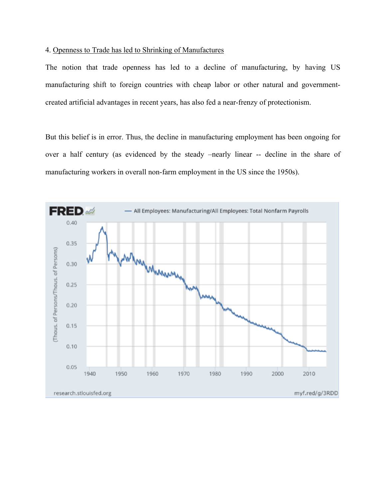# 4. Openness to Trade has led to Shrinking of Manufactures

The notion that trade openness has led to a decline of manufacturing, by having US manufacturing shift to foreign countries with cheap labor or other natural and governmentcreated artificial advantages in recent years, has also fed a near-frenzy of protectionism.

But this belief is in error. Thus, the decline in manufacturing employment has been ongoing for over a half century (as evidenced by the steady –nearly linear -- decline in the share of manufacturing workers in overall non-farm employment in the US since the 1950s).

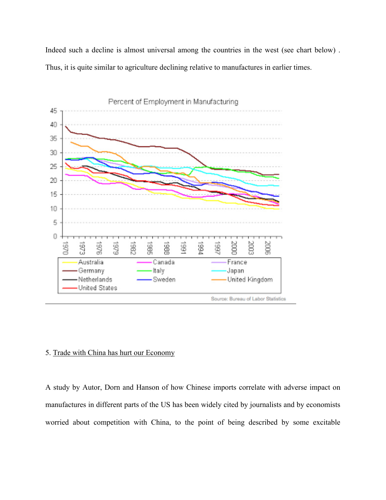Indeed such a decline is almost universal among the countries in the west (see chart below) . Thus, it is quite similar to agriculture declining relative to manufactures in earlier times.



## 5. Trade with China has hurt our Economy

A study by Autor, Dorn and Hanson of how Chinese imports correlate with adverse impact on manufactures in different parts of the US has been widely cited by journalists and by economists worried about competition with China, to the point of being described by some excitable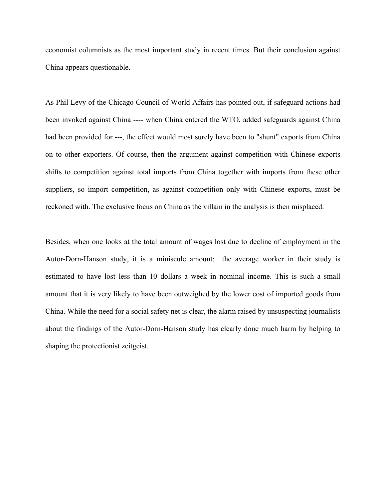economist columnists as the most important study in recent times. But their conclusion against China appears questionable.

As Phil Levy of the Chicago Council of World Affairs has pointed out, if safeguard actions had been invoked against China ---- when China entered the WTO, added safeguards against China had been provided for ---, the effect would most surely have been to "shunt" exports from China on to other exporters. Of course, then the argument against competition with Chinese exports shifts to competition against total imports from China together with imports from these other suppliers, so import competition, as against competition only with Chinese exports, must be reckoned with. The exclusive focus on China as the villain in the analysis is then misplaced.

Besides, when one looks at the total amount of wages lost due to decline of employment in the Autor-Dorn-Hanson study, it is a miniscule amount: the average worker in their study is estimated to have lost less than 10 dollars a week in nominal income. This is such a small amount that it is very likely to have been outweighed by the lower cost of imported goods from China. While the need for a social safety net is clear, the alarm raised by unsuspecting journalists about the findings of the Autor-Dorn-Hanson study has clearly done much harm by helping to shaping the protectionist zeitgeist.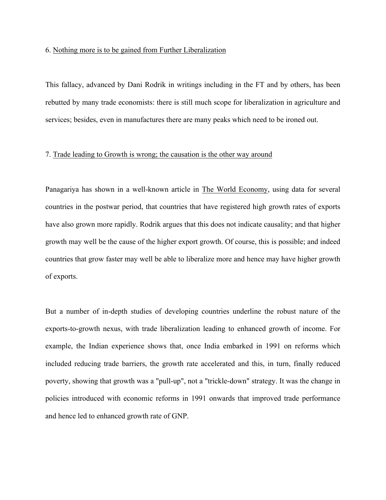#### 6. Nothing more is to be gained from Further Liberalization

This fallacy, advanced by Dani Rodrik in writings including in the FT and by others, has been rebutted by many trade economists: there is still much scope for liberalization in agriculture and services; besides, even in manufactures there are many peaks which need to be ironed out.

## 7. Trade leading to Growth is wrong; the causation is the other way around

Panagariya has shown in a well-known article in The World Economy, using data for several countries in the postwar period, that countries that have registered high growth rates of exports have also grown more rapidly. Rodrik argues that this does not indicate causality; and that higher growth may well be the cause of the higher export growth. Of course, this is possible; and indeed countries that grow faster may well be able to liberalize more and hence may have higher growth of exports.

But a number of in-depth studies of developing countries underline the robust nature of the exports-to-growth nexus, with trade liberalization leading to enhanced growth of income. For example, the Indian experience shows that, once India embarked in 1991 on reforms which included reducing trade barriers, the growth rate accelerated and this, in turn, finally reduced poverty, showing that growth was a "pull-up", not a "trickle-down" strategy. It was the change in policies introduced with economic reforms in 1991 onwards that improved trade performance and hence led to enhanced growth rate of GNP.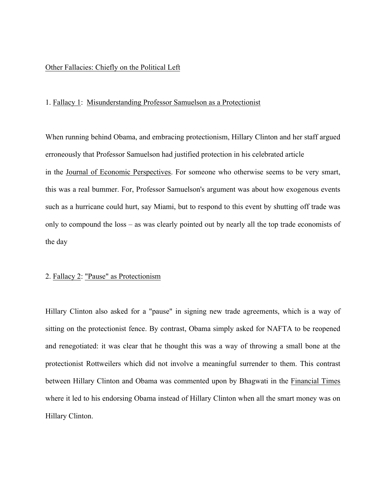## Other Fallacies: Chiefly on the Political Left

## 1. Fallacy 1: Misunderstanding Professor Samuelson as a Protectionist

When running behind Obama, and embracing protectionism, Hillary Clinton and her staff argued erroneously that Professor Samuelson had justified protection in his celebrated article in the Journal of Economic Perspectives. For someone who otherwise seems to be very smart, this was a real bummer. For, Professor Samuelson's argument was about how exogenous events such as a hurricane could hurt, say Miami, but to respond to this event by shutting off trade was only to compound the loss – as was clearly pointed out by nearly all the top trade economists of the day

#### 2. Fallacy 2: "Pause" as Protectionism

Hillary Clinton also asked for a "pause" in signing new trade agreements, which is a way of sitting on the protectionist fence. By contrast, Obama simply asked for NAFTA to be reopened and renegotiated: it was clear that he thought this was a way of throwing a small bone at the protectionist Rottweilers which did not involve a meaningful surrender to them. This contrast between Hillary Clinton and Obama was commented upon by Bhagwati in the Financial Times where it led to his endorsing Obama instead of Hillary Clinton when all the smart money was on Hillary Clinton.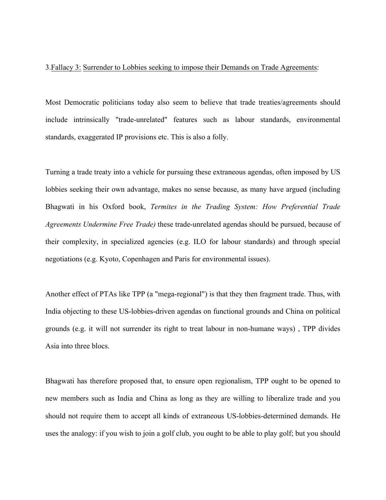# 3.Fallacy 3: Surrender to Lobbies seeking to impose their Demands on Trade Agreements:

Most Democratic politicians today also seem to believe that trade treaties/agreements should include intrinsically "trade-unrelated" features such as labour standards, environmental standards, exaggerated IP provisions etc. This is also a folly.

Turning a trade treaty into a vehicle for pursuing these extraneous agendas, often imposed by US lobbies seeking their own advantage, makes no sense because, as many have argued (including Bhagwati in his Oxford book, *Termites in the Trading System: How Preferential Trade Agreements Undermine Free Trade)* these trade-unrelated agendas should be pursued, because of their complexity, in specialized agencies (e.g. ILO for labour standards) and through special negotiations (e.g. Kyoto, Copenhagen and Paris for environmental issues).

Another effect of PTAs like TPP (a "mega-regional") is that they then fragment trade. Thus, with India objecting to these US-lobbies-driven agendas on functional grounds and China on political grounds (e.g. it will not surrender its right to treat labour in non-humane ways) , TPP divides Asia into three blocs.

Bhagwati has therefore proposed that, to ensure open regionalism, TPP ought to be opened to new members such as India and China as long as they are willing to liberalize trade and you should not require them to accept all kinds of extraneous US-lobbies-determined demands. He uses the analogy: if you wish to join a golf club, you ought to be able to play golf; but you should